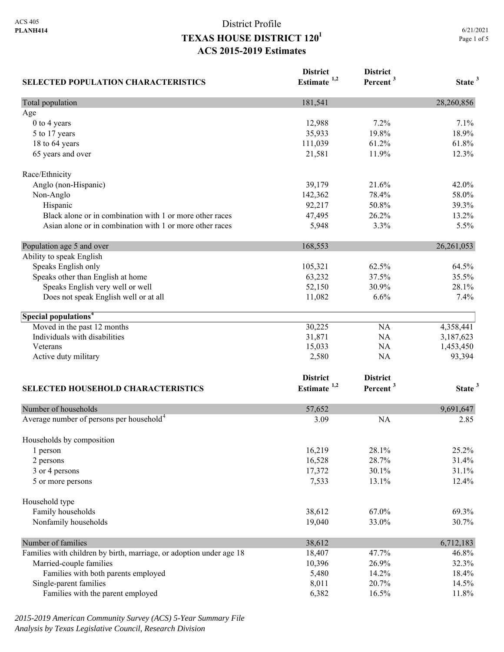# District Profile **TEXAS HOUSE DISTRICT 1201 ACS 2015-2019 Estimates**

| <b>SELECTED POPULATION CHARACTERISTICS</b>                          | <b>District</b><br>Estimate <sup>1,2</sup> | <b>District</b><br>Percent <sup>3</sup> | State <sup>3</sup> |
|---------------------------------------------------------------------|--------------------------------------------|-----------------------------------------|--------------------|
| Total population                                                    | 181,541                                    |                                         | 28,260,856         |
| Age                                                                 |                                            |                                         |                    |
| 0 to 4 years                                                        | 12,988                                     | 7.2%                                    | 7.1%               |
| 5 to 17 years                                                       | 35,933                                     | 19.8%                                   | 18.9%              |
| 18 to 64 years                                                      | 111,039                                    | 61.2%                                   | 61.8%              |
| 65 years and over                                                   | 21,581                                     | 11.9%                                   | 12.3%              |
| Race/Ethnicity                                                      |                                            |                                         |                    |
| Anglo (non-Hispanic)                                                | 39,179                                     | 21.6%                                   | 42.0%              |
| Non-Anglo                                                           | 142,362                                    | 78.4%                                   | 58.0%              |
| Hispanic                                                            | 92,217                                     | 50.8%                                   | 39.3%              |
| Black alone or in combination with 1 or more other races            | 47,495                                     | 26.2%                                   | 13.2%              |
| Asian alone or in combination with 1 or more other races            | 5,948                                      | 3.3%                                    | 5.5%               |
| Population age 5 and over                                           | 168,553                                    |                                         | 26, 261, 053       |
| Ability to speak English                                            |                                            |                                         |                    |
| Speaks English only                                                 | 105,321                                    | 62.5%                                   | 64.5%              |
| Speaks other than English at home                                   | 63,232                                     | 37.5%                                   | 35.5%              |
| Speaks English very well or well                                    | 52,150                                     | 30.9%                                   | 28.1%              |
| Does not speak English well or at all                               | 11,082                                     | 6.6%                                    | 7.4%               |
| Special populations <sup>4</sup>                                    |                                            |                                         |                    |
| Moved in the past 12 months                                         | 30,225                                     | NA                                      | 4,358,441          |
| Individuals with disabilities                                       | 31,871                                     | NA                                      | 3,187,623          |
| Veterans                                                            | 15,033                                     | NA                                      | 1,453,450          |
| Active duty military                                                | 2,580                                      | NA                                      | 93,394             |
|                                                                     | <b>District</b>                            | <b>District</b>                         |                    |
| <b>SELECTED HOUSEHOLD CHARACTERISTICS</b>                           | Estimate <sup>1,2</sup>                    | Percent <sup>3</sup>                    | State <sup>3</sup> |
|                                                                     |                                            |                                         |                    |
| Number of households                                                | 57,652                                     |                                         | 9,691,647          |
| Average number of persons per household <sup>4</sup>                | 3.09                                       | <b>NA</b>                               | 2.85               |
| Households by composition                                           |                                            |                                         |                    |
| 1 person                                                            | 16,219                                     | 28.1%                                   | 25.2%              |
| 2 persons                                                           | 16,528                                     | 28.7%                                   | 31.4%              |
| 3 or 4 persons                                                      | 17,372                                     | 30.1%                                   | 31.1%              |
| 5 or more persons                                                   | 7,533                                      | 13.1%                                   | 12.4%              |
| Household type                                                      |                                            |                                         |                    |
| Family households                                                   | 38,612                                     | 67.0%                                   | 69.3%              |
| Nonfamily households                                                | 19,040                                     | 33.0%                                   | 30.7%              |
| Number of families                                                  | 38,612                                     |                                         | 6,712,183          |
| Families with children by birth, marriage, or adoption under age 18 | 18,407                                     | 47.7%                                   | 46.8%              |
| Married-couple families                                             | 10,396                                     | 26.9%                                   | 32.3%              |
| Families with both parents employed                                 | 5,480                                      | 14.2%                                   | 18.4%              |
| Single-parent families                                              | 8,011                                      | 20.7%                                   | 14.5%              |
| Families with the parent employed                                   | 6,382                                      | 16.5%                                   | 11.8%              |

*2015-2019 American Community Survey (ACS) 5-Year Summary File Analysis by Texas Legislative Council, Research Division*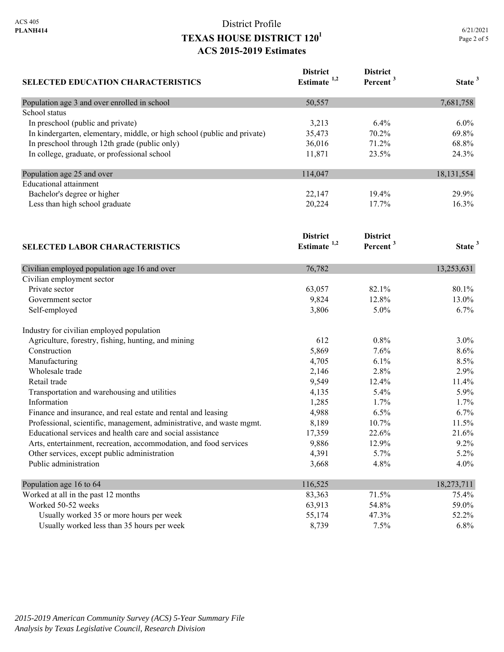# District Profile **TEXAS HOUSE DISTRICT 1201 ACS 2015-2019 Estimates**

| <b>SELECTED EDUCATION CHARACTERISTICS</b>                                | <b>District</b><br>Estimate <sup>1,2</sup> | <b>District</b><br>Percent <sup>3</sup> | State <sup>3</sup> |
|--------------------------------------------------------------------------|--------------------------------------------|-----------------------------------------|--------------------|
| Population age 3 and over enrolled in school                             | 50,557                                     |                                         | 7,681,758          |
| School status                                                            |                                            |                                         |                    |
| In preschool (public and private)                                        | 3,213                                      | 6.4%                                    | $6.0\%$            |
| In kindergarten, elementary, middle, or high school (public and private) | 35,473                                     | 70.2%                                   | 69.8%              |
| In preschool through 12th grade (public only)                            | 36,016                                     | 71.2%                                   | 68.8%              |
| In college, graduate, or professional school                             | 11,871                                     | 23.5%                                   | 24.3%              |
| Population age 25 and over                                               | 114,047                                    |                                         | 18, 131, 554       |
| <b>Educational attainment</b>                                            |                                            |                                         |                    |
| Bachelor's degree or higher                                              | 22,147                                     | 19.4%                                   | 29.9%              |
| Less than high school graduate                                           | 20,224                                     | 17.7%                                   | 16.3%              |
|                                                                          | <b>District</b>                            | <b>District</b>                         |                    |
| <b>SELECTED LABOR CHARACTERISTICS</b>                                    | Estimate <sup>1,2</sup>                    | Percent <sup>3</sup>                    | State <sup>3</sup> |
| Civilian employed population age 16 and over                             | 76,782                                     |                                         | 13,253,631         |
| Civilian employment sector                                               |                                            |                                         |                    |
| Private sector                                                           | 63,057                                     | 82.1%                                   | 80.1%              |
| Government sector                                                        | 9,824                                      | 12.8%                                   | 13.0%              |
| Self-employed                                                            | 3,806                                      | 5.0%                                    | 6.7%               |
| Industry for civilian employed population                                |                                            |                                         |                    |
| Agriculture, forestry, fishing, hunting, and mining                      | 612                                        | 0.8%                                    | 3.0%               |
| Construction                                                             | 5,869                                      | 7.6%                                    | 8.6%               |
| Manufacturing                                                            | 4,705                                      | 6.1%                                    | 8.5%               |
| Wholesale trade                                                          | 2,146                                      | 2.8%                                    | 2.9%               |
| Retail trade                                                             | 9,549                                      | 12.4%                                   | 11.4%              |
| Transportation and warehousing and utilities                             | 4,135                                      | 5.4%                                    | 5.9%               |
| Information                                                              | 1,285                                      | 1.7%                                    | 1.7%               |
| Finance and insurance, and real estate and rental and leasing            | 4,988                                      | 6.5%                                    | 6.7%               |
| Professional, scientific, management, administrative, and waste mgmt.    | 8,189                                      | 10.7%                                   | 11.5%              |
| Educational services and health care and social assistance               | 17,359                                     | 22.6%                                   | 21.6%              |
| Arts, entertainment, recreation, accommodation, and food services        | 9,886                                      | 12.9%                                   | 9.2%               |
| Other services, except public administration                             | 4,391                                      | 5.7%                                    | 5.2%               |
| Public administration                                                    | 3,668                                      | 4.8%                                    | 4.0%               |
| Population age 16 to 64                                                  | 116,525                                    |                                         | 18,273,711         |
| Worked at all in the past 12 months                                      | 83,363                                     | 71.5%                                   | 75.4%              |
| Worked 50-52 weeks                                                       | 63,913                                     | 54.8%                                   | 59.0%              |
| Usually worked 35 or more hours per week                                 | 55,174                                     | 47.3%                                   | 52.2%              |
| Usually worked less than 35 hours per week                               | 8,739                                      | 7.5%                                    | 6.8%               |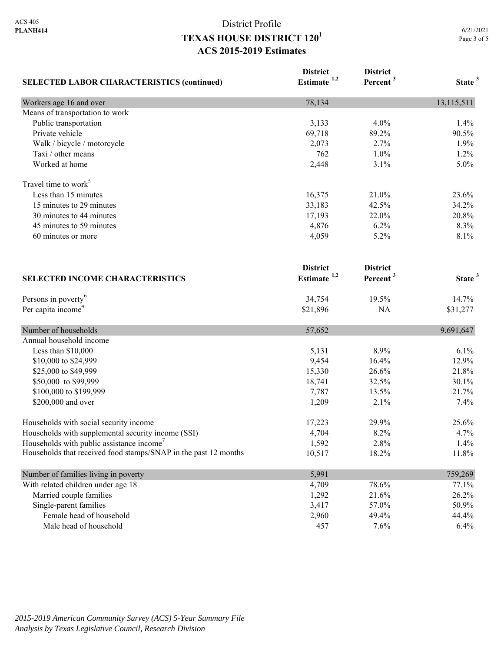# District Profile **TEXAS HOUSE DISTRICT 1201 ACS 2015-2019 Estimates**

| <b>SELECTED LABOR CHARACTERISTICS (continued)</b>               | <b>District</b><br>Estimate <sup>1,2</sup> | <b>District</b><br>Percent <sup>3</sup> | State <sup>3</sup> |
|-----------------------------------------------------------------|--------------------------------------------|-----------------------------------------|--------------------|
| Workers age 16 and over                                         | 78,134                                     |                                         | 13,115,511         |
| Means of transportation to work                                 |                                            |                                         |                    |
| Public transportation                                           | 3,133                                      | 4.0%                                    | 1.4%               |
| Private vehicle                                                 | 69,718                                     | 89.2%                                   | 90.5%              |
| Walk / bicycle / motorcycle                                     | 2,073                                      | 2.7%                                    | 1.9%               |
| Taxi / other means                                              | 762                                        | 1.0%                                    | 1.2%               |
| Worked at home                                                  | 2,448                                      | 3.1%                                    | 5.0%               |
| Travel time to work <sup>5</sup>                                |                                            |                                         |                    |
| Less than 15 minutes                                            | 16,375                                     | 21.0%                                   | 23.6%              |
| 15 minutes to 29 minutes                                        | 33,183                                     | 42.5%                                   | 34.2%              |
| 30 minutes to 44 minutes                                        | 17,193                                     | 22.0%                                   | 20.8%              |
| 45 minutes to 59 minutes                                        | 4,876                                      | 6.2%                                    | 8.3%               |
| 60 minutes or more                                              | 4,059                                      | 5.2%                                    | 8.1%               |
|                                                                 | <b>District</b>                            | <b>District</b>                         |                    |
| <b>SELECTED INCOME CHARACTERISTICS</b>                          | Estimate <sup>1,2</sup>                    | Percent <sup>3</sup>                    | State <sup>3</sup> |
| Persons in poverty <sup>6</sup>                                 | 34,754                                     | 19.5%                                   | 14.7%              |
| Per capita income <sup>4</sup>                                  | \$21,896                                   | NA                                      | \$31,277           |
| Number of households                                            | 57,652                                     |                                         | 9,691,647          |
| Annual household income                                         |                                            |                                         |                    |
| Less than \$10,000                                              | 5,131                                      | 8.9%                                    | 6.1%               |
| \$10,000 to \$24,999                                            | 9,454                                      | 16.4%                                   | 12.9%              |
| \$25,000 to \$49,999                                            | 15,330                                     | 26.6%                                   | 21.8%              |
| \$50,000 to \$99,999                                            | 18,741                                     | 32.5%                                   | 30.1%              |
| \$100,000 to \$199,999                                          | 7,787                                      | 13.5%                                   | 21.7%              |
| \$200,000 and over                                              | 1,209                                      | 2.1%                                    | 7.4%               |
| Households with social security income                          | 17,223                                     | 29.9%                                   | 25.6%              |
| Households with supplemental security income (SSI)              | 4,704                                      | 8.2%                                    | 4.7%               |
| Households with public assistance income'                       | 1,592                                      | 2.8%                                    | 1.4%               |
| Households that received food stamps/SNAP in the past 12 months | 10,517                                     | 18.2%                                   | 11.8%              |
| Number of families living in poverty                            | 5,991                                      |                                         | 759,269            |
| With related children under age 18                              | 4,709                                      | 78.6%                                   | 77.1%              |
| Married couple families                                         | 1,292                                      | 21.6%                                   | 26.2%              |
| Single-parent families                                          | 3,417                                      | 57.0%                                   | 50.9%              |
| Female head of household                                        | 2,960                                      | 49.4%                                   | 44.4%              |
| Male head of household                                          | 457                                        | 7.6%                                    | 6.4%               |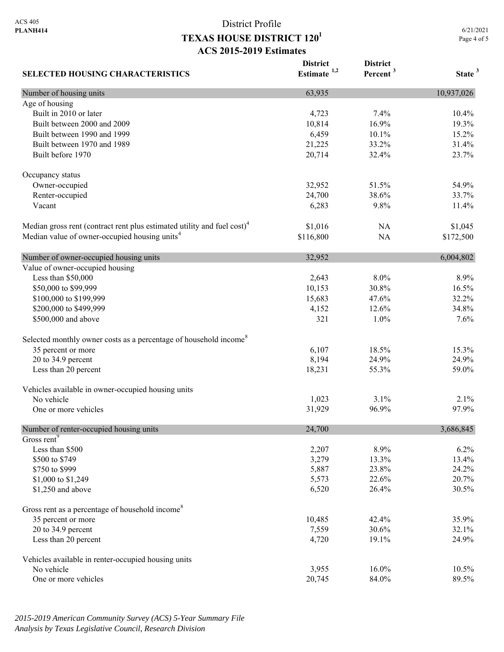**SELECTED HOUSING CHARACTERISTICS**

## District Profile **TEXAS HOUSE DISTRICT 1201 ACS 2015-2019 Estimates**

**District Estimate 1,2**  **District** 

**Percent <sup>3</sup> State <sup>3</sup>**

Number of housing units 10,937,026 Age of housing Built in 2010 or later 10.4% 10.4% 10.4% 10.4% 10.4% 10.4% 10.4% 10.4% 10.4% 10.4% 10.4% 10.4% 10.4% 10.4% 10.5 Built between 2000 and 2009 10,814 16.9% 19.3% Built between 1990 and 1999 **6,459** 10.1% 15.2% Built between 1970 and 1989 21,225 33.2% 31.4% Built before 1970 20.714 32.4% 23.7% Occupancy status Owner-occupied 32,952 51.5% 54.9% Renter-occupied 24,700 38.6% 33.7% Vacant 6,283 9.8% 11.4% Median gross rent (contract rent plus estimated utility and fuel cost)<sup>4</sup> \$1,016 NA \$1,045 Median value of owner-occupied housing units<sup>4</sup> \$116,800 NA \$172,500 Number of owner-occupied housing units 32,952 6,004,802 Value of owner-occupied housing Less than \$50,000 2,643 8.0% 8.9% \$50,000 to \$99,999 10,153 30.8% 16.5% 16.5% \$100,000 to \$199,999 15,683 47.6% 32.2% \$200,000 to \$499,999 4,152 12.6% 34.8% \$500,000 and above 321 1.0% 7.6% 7.6% Selected monthly owner costs as a percentage of household income<sup>8</sup> 35 percent or more 15.3% 15.3% 15.3% 15.3% 20 to 34.9 percent 24.9% 24.9% 24.9% 24.9% 24.9% 26.194 26.9% 26.194 26.194 26.194 26.194 26.194 26.194 26.194 26.194 26.194 26.194 26.194 26.194 26.194 26.194 26.194 26.194 27.194 27.194 27.194 27.194 27.194 27.194 27.194 Less than 20 percent 18,231 55.3% 59.0% Vehicles available in owner-occupied housing units No vehicle  $1,023$   $3.1\%$   $2.1\%$ One or more vehicles 97.9% 97.9% 97.9% Number of renter-occupied housing units 24,700 3,686,845 Gross rent<sup>9</sup> Less than \$500 2,207 8.9% 6.2% \$500 to \$749 13.4% 13.4% 13.4% 13.4% 13.4% 13.4% 13.4% 13.4% 13.4% 13.4% 13.4% 13.4% 13.4% 13.4% 13.4% 13.4% 13.4% \$750 to \$999 5,887 23.8% 24.2% \$1,000 to \$1,249 20.7% 20.7% 20.7% \$1,250 and above 30.5% 30.5% 30.5% 30.5% 30.5% 30.5% 30.5% 30.5% 30.5% 30.5% 30.5% 30.5% 30.5% 30.5% 30.5% 30.5% 30.5% 30.5% 30.5% 30.5% 30.5% 30.5% 30.5% 30.5% 30.5% 30.5% 30.5% 30.5% 30.5% 30.5% 30.5% 30.5% 30.5% 30.5% 3 Gross rent as a percentage of household income<sup>8</sup> 35 percent or more 35.9% 36 percent or more 35.9% 20 to 34.9 percent 32.1% 32.1% Less than 20 percent 24.9% 24.9% 24.9% 24.9% 24.9% 26.000 26.000 26.000 26.000 26.000 26.000 26.000 26.000 26.000 26.000 26.000 26.000 26.000 26.000 26.000 26.000 26.000 26.000 26.000 26.000 26.000 26.000 26.000 26.000 26. Vehicles available in renter-occupied housing units No vehicle 10.5% 16.0% 10.5% 16.0% 10.5% One or more vehicles 89.5% 89.5%